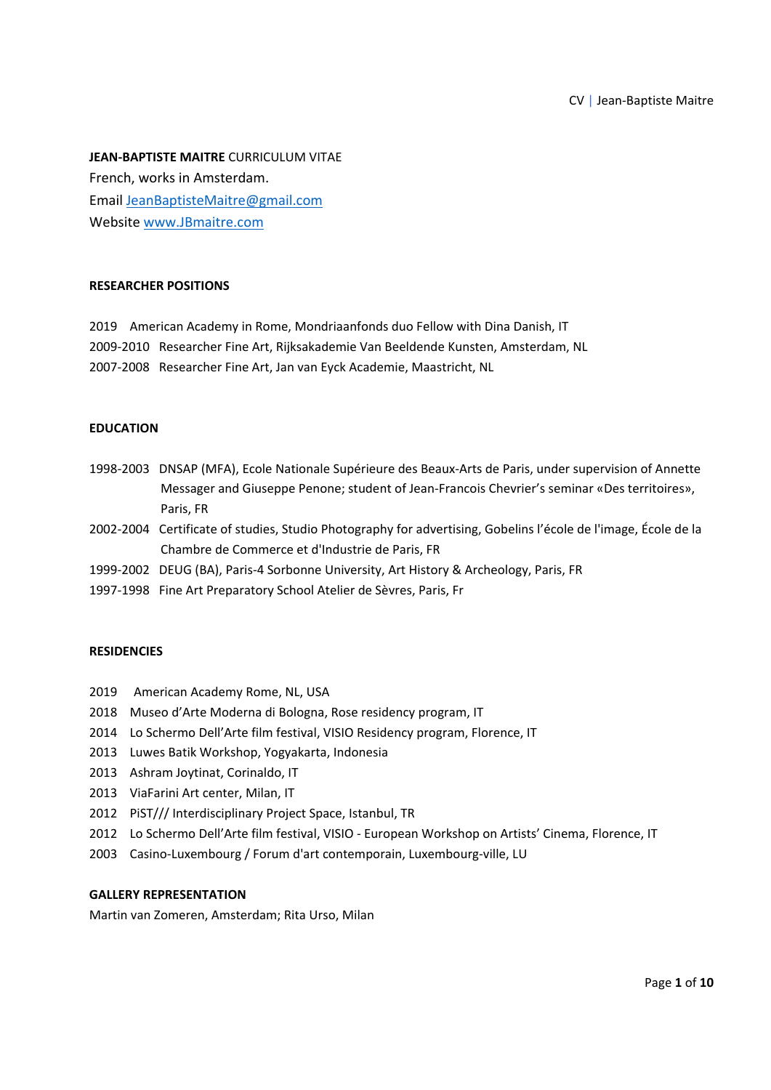**JEAN‐BAPTISTE MAITRE** CURRICULUM VITAE French, works in Amsterdam. Email JeanBaptisteMaitre@gmail.com Website www.JBmaitre.com

## **RESEARCHER POSITIONS**

2019 American Academy in Rome, Mondriaanfonds duo Fellow with Dina Danish, IT 2009‐2010 Researcher Fine Art, Rijksakademie Van Beeldende Kunsten, Amsterdam, NL 2007‐2008 Researcher Fine Art, Jan van Eyck Academie, Maastricht, NL

#### **EDUCATION**

- 1998‐2003 DNSAP (MFA), Ecole Nationale Supérieure des Beaux‐Arts de Paris, under supervision of Annette Messager and Giuseppe Penone; student of Jean‐Francois Chevrier's seminar «Des territoires», Paris, FR
- 2002‐2004 Certificate of studies, Studio Photography for advertising, Gobelins l'école de l'image, École de la Chambre de Commerce et d'Industrie de Paris, FR
- 1999-2002 DEUG (BA), Paris-4 Sorbonne University, Art History & Archeology, Paris, FR
- 1997‐1998 Fine Art Preparatory School Atelier de Sèvres, Paris, Fr

#### **RESIDENCIES**

- 2019 American Academy Rome, NL, USA
- 2018 Museo d'Arte Moderna di Bologna, Rose residency program, IT
- 2014 Lo Schermo Dell'Arte film festival, VISIO Residency program, Florence, IT
- 2013 Luwes Batik Workshop, Yogyakarta, Indonesia
- 2013 Ashram Joytinat, Corinaldo, IT
- 2013 ViaFarini Art center, Milan, IT
- 2012 PIST/// Interdisciplinary Project Space, Istanbul, TR
- 2012 Lo Schermo Dell'Arte film festival, VISIO ‐ European Workshop on Artists' Cinema, Florence, IT
- 2003 Casino-Luxembourg / Forum d'art contemporain, Luxembourg-ville, LU

## **GALLERY REPRESENTATION**

Martin van Zomeren, Amsterdam; Rita Urso, Milan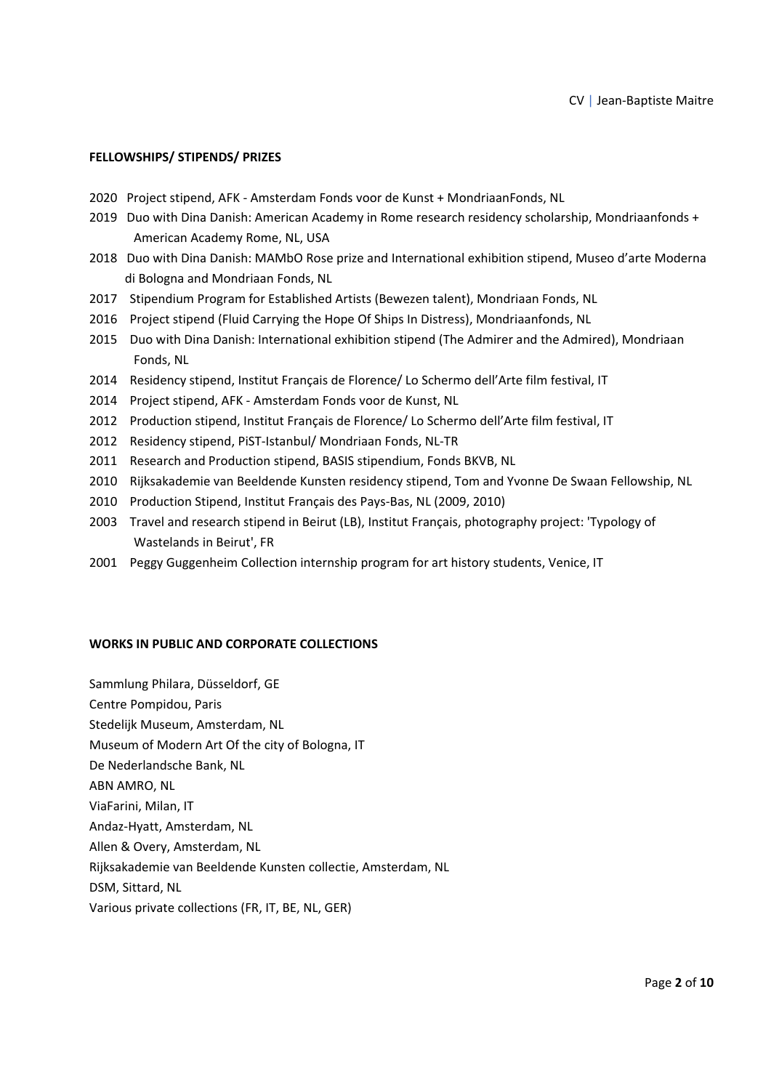## **FELLOWSHIPS/ STIPENDS/ PRIZES**

- 2020 Project stipend, AFK ‐ Amsterdam Fonds voor de Kunst + MondriaanFonds, NL
- 2019 Duo with Dina Danish: American Academy in Rome research residency scholarship, Mondriaanfonds + American Academy Rome, NL, USA
- 2018 Duo with Dina Danish: MAMbO Rose prize and International exhibition stipend, Museo d'arte Moderna di Bologna and Mondriaan Fonds, NL
- 2017 Stipendium Program for Established Artists (Bewezen talent), Mondriaan Fonds, NL
- 2016 Project stipend (Fluid Carrying the Hope Of Ships In Distress), Mondriaanfonds, NL
- 2015 Duo with Dina Danish: International exhibition stipend (The Admirer and the Admired), Mondriaan Fonds, NL
- 2014 Residency stipend, Institut Français de Florence/ Lo Schermo dell'Arte film festival, IT
- 2014 Project stipend, AFK ‐ Amsterdam Fonds voor de Kunst, NL
- 2012 Production stipend, Institut Français de Florence/ Lo Schermo dell'Arte film festival, IT
- 2012 Residency stipend, PiST-Istanbul/ Mondriaan Fonds, NL-TR
- 2011 Research and Production stipend, BASIS stipendium, Fonds BKVB, NL
- 2010 Rijksakademie van Beeldende Kunsten residency stipend, Tom and Yvonne De Swaan Fellowship, NL
- 2010 Production Stipend, Institut Français des Pays‐Bas, NL (2009, 2010)
- 2003 Travel and research stipend in Beirut (LB), Institut Français, photography project: 'Typology of Wastelands in Beirut', FR
- 2001 Peggy Guggenheim Collection internship program for art history students, Venice, IT

#### **WORKS IN PUBLIC AND CORPORATE COLLECTIONS**

Sammlung Philara, Düsseldorf, GE Centre Pompidou, Paris Stedelijk Museum, Amsterdam, NL Museum of Modern Art Of the city of Bologna, IT De Nederlandsche Bank, NL ABN AMRO, NL ViaFarini, Milan, IT Andaz‐Hyatt, Amsterdam, NL Allen & Overy, Amsterdam, NL Rijksakademie van Beeldende Kunsten collectie, Amsterdam, NL DSM, Sittard, NL Various private collections (FR, IT, BE, NL, GER)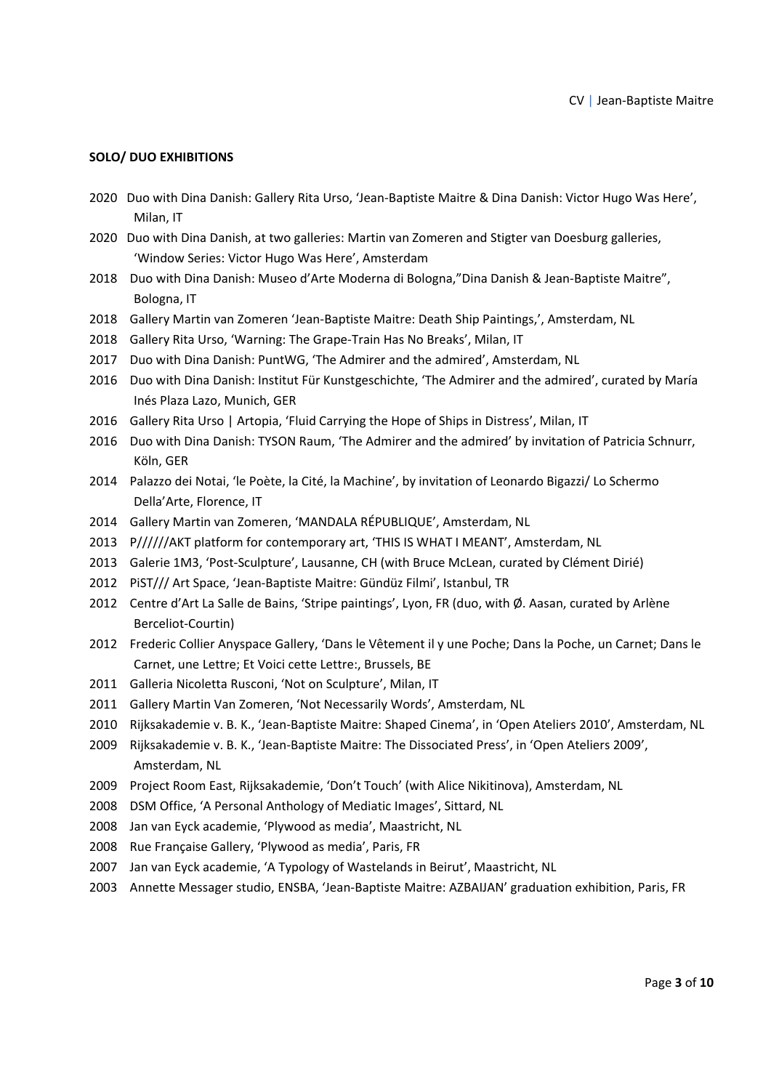## **SOLO/ DUO EXHIBITIONS**

- 2020 Duo with Dina Danish: Gallery Rita Urso, 'Jean‐Baptiste Maitre & Dina Danish: Victor Hugo Was Here', Milan, IT
- 2020 Duo with Dina Danish, at two galleries: Martin van Zomeren and Stigter van Doesburg galleries, 'Window Series: Victor Hugo Was Here', Amsterdam
- 2018 Duo with Dina Danish: Museo d'Arte Moderna di Bologna,"Dina Danish & Jean‐Baptiste Maitre", Bologna, IT
- 2018 Gallery Martin van Zomeren 'Jean‐Baptiste Maitre: Death Ship Paintings,', Amsterdam, NL
- 2018 Gallery Rita Urso, 'Warning: The Grape‐Train Has No Breaks', Milan, IT
- 2017 Duo with Dina Danish: PuntWG, 'The Admirer and the admired', Amsterdam, NL
- 2016 Duo with Dina Danish: Institut Für Kunstgeschichte, 'The Admirer and the admired', curated by María Inés Plaza Lazo, Munich, GER
- 2016 Gallery Rita Urso | Artopia, 'Fluid Carrying the Hope of Ships in Distress', Milan, IT
- 2016 Duo with Dina Danish: TYSON Raum, 'The Admirer and the admired' by invitation of Patricia Schnurr, Köln, GER
- 2014 Palazzo dei Notai, 'le Poète, la Cité, la Machine', by invitation of Leonardo Bigazzi/ Lo Schermo Della'Arte, Florence, IT
- 2014 Gallery Martin van Zomeren, 'MANDALA RÉPUBLIQUE', Amsterdam, NL
- 2013 P//////AKT platform for contemporary art, 'THIS IS WHAT I MEANT', Amsterdam, NL
- 2013 Galerie 1M3, 'Post‐Sculpture', Lausanne, CH (with Bruce McLean, curated by Clément Dirié)
- 2012 PiST/// Art Space, 'Jean‐Baptiste Maitre: Gündüz Filmi', Istanbul, TR
- 2012 Centre d'Art La Salle de Bains, 'Stripe paintings', Lyon, FR (duo, with Ø. Aasan, curated by Arlène Berceliot‐Courtin)
- 2012 Frederic Collier Anyspace Gallery, 'Dans le Vêtement il y une Poche; Dans la Poche, un Carnet; Dans le Carnet, une Lettre; Et Voici cette Lettre:, Brussels, BE
- 2011 Galleria Nicoletta Rusconi, 'Not on Sculpture', Milan, IT
- 2011 Gallery Martin Van Zomeren, 'Not Necessarily Words', Amsterdam, NL
- 2010 Rijksakademie v. B. K., 'Jean‐Baptiste Maitre: Shaped Cinema', in 'Open Ateliers 2010', Amsterdam, NL
- 2009 Rijksakademie v. B. K., 'Jean‐Baptiste Maitre: The Dissociated Press', in 'Open Ateliers 2009', Amsterdam, NL
- 2009 Project Room East, Rijksakademie, 'Don't Touch' (with Alice Nikitinova), Amsterdam, NL
- 2008 DSM Office, 'A Personal Anthology of Mediatic Images', Sittard, NL
- 2008 Jan van Eyck academie, 'Plywood as media', Maastricht, NL
- 2008 Rue Française Gallery, 'Plywood as media', Paris, FR
- 2007 Jan van Eyck academie, 'A Typology of Wastelands in Beirut', Maastricht, NL
- 2003 Annette Messager studio, ENSBA, 'Jean‐Baptiste Maitre: AZBAIJAN' graduation exhibition, Paris, FR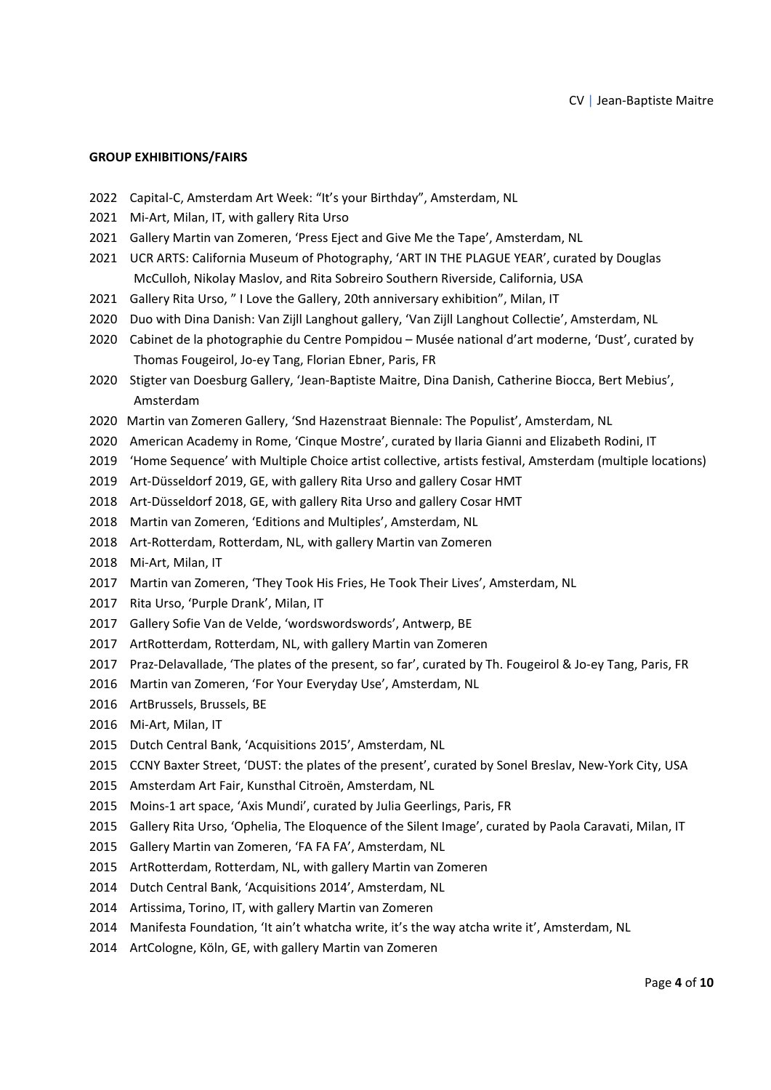## **GROUP EXHIBITIONS/FAIRS**

- 2022 Capital-C, Amsterdam Art Week: "It's your Birthday", Amsterdam, NL
- 2021 Mi-Art, Milan, IT, with gallery Rita Urso
- 2021 Gallery Martin van Zomeren, 'Press Eject and Give Me the Tape', Amsterdam, NL
- 2021 UCR ARTS: California Museum of Photography, 'ART IN THE PLAGUE YEAR', curated by Douglas McCulloh, Nikolay Maslov, and Rita Sobreiro Southern Riverside, California, USA
- 2021 Gallery Rita Urso, "I Love the Gallery, 20th anniversary exhibition", Milan, IT
- 2020 Duo with Dina Danish: Van Zijll Langhout gallery, 'Van Zijll Langhout Collectie', Amsterdam, NL
- 2020 Cabinet de la photographie du Centre Pompidou Musée national d'art moderne, 'Dust', curated by Thomas Fougeirol, Jo‐ey Tang, Florian Ebner, Paris, FR
- 2020 Stigter van Doesburg Gallery, 'Jean‐Baptiste Maitre, Dina Danish, Catherine Biocca, Bert Mebius', Amsterdam
- 2020 Martin van Zomeren Gallery, 'Snd Hazenstraat Biennale: The Populist', Amsterdam, NL
- 2020 American Academy in Rome, 'Cinque Mostre', curated by Ilaria Gianni and Elizabeth Rodini, IT
- 2019 'Home Sequence' with Multiple Choice artist collective, artists festival, Amsterdam (multiple locations)
- 2019 Art-Düsseldorf 2019, GE, with gallery Rita Urso and gallery Cosar HMT
- 2018 Art-Düsseldorf 2018, GE, with gallery Rita Urso and gallery Cosar HMT
- 2018 Martin van Zomeren, 'Editions and Multiples', Amsterdam, NL
- 2018 Art-Rotterdam, Rotterdam, NL, with gallery Martin van Zomeren
- 2018 Mi-Art, Milan, IT
- 2017 Martin van Zomeren, 'They Took His Fries, He Took Their Lives', Amsterdam, NL
- 2017 Rita Urso, 'Purple Drank', Milan, IT
- 2017 Gallery Sofie Van de Velde, 'wordswordswords', Antwerp, BE
- 2017 ArtRotterdam, Rotterdam, NL, with gallery Martin van Zomeren
- 2017 Praz‐Delavallade, 'The plates of the present, so far', curated by Th. Fougeirol & Jo‐ey Tang, Paris, FR
- 2016 Martin van Zomeren, 'For Your Everyday Use', Amsterdam, NL
- 2016 ArtBrussels, Brussels, BE
- 2016 Mi-Art, Milan, IT
- 2015 Dutch Central Bank, 'Acquisitions 2015', Amsterdam, NL
- 2015 CCNY Baxter Street, 'DUST: the plates of the present', curated by Sonel Breslav, New‐York City, USA
- 2015 Amsterdam Art Fair, Kunsthal Citroën, Amsterdam, NL
- 2015 Moins-1 art space, 'Axis Mundi', curated by Julia Geerlings, Paris, FR
- 2015 Gallery Rita Urso, 'Ophelia, The Eloquence of the Silent Image', curated by Paola Caravati, Milan, IT
- 2015 Gallery Martin van Zomeren, 'FA FA FA', Amsterdam, NL
- 2015 ArtRotterdam, Rotterdam, NL, with gallery Martin van Zomeren
- 2014 Dutch Central Bank, 'Acquisitions 2014', Amsterdam, NL
- 2014 Artissima, Torino, IT, with gallery Martin van Zomeren
- 2014 Manifesta Foundation, 'It ain't whatcha write, it's the way atcha write it', Amsterdam, NL
- 2014 ArtCologne, Köln, GE, with gallery Martin van Zomeren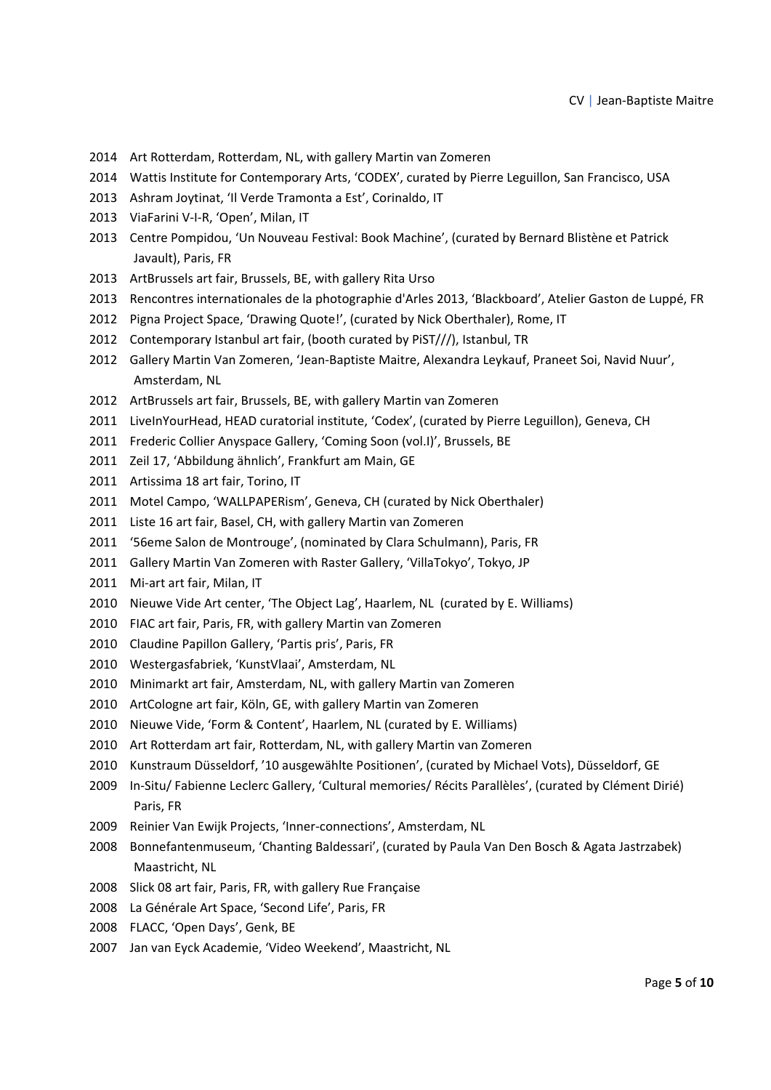- 2014 Art Rotterdam, Rotterdam, NL, with gallery Martin van Zomeren
- 2014 Wattis Institute for Contemporary Arts, 'CODEX', curated by Pierre Leguillon, San Francisco, USA
- 2013 Ashram Joytinat, 'Il Verde Tramonta a Est', Corinaldo, IT
- 2013 ViaFarini V-I-R, 'Open', Milan, IT
- 2013 Centre Pompidou, 'Un Nouveau Festival: Book Machine', (curated by Bernard Blistène et Patrick Javault), Paris, FR
- 2013 ArtBrussels art fair, Brussels, BE, with gallery Rita Urso
- 2013 Rencontres internationales de la photographie d'Arles 2013, 'Blackboard', Atelier Gaston de Luppé, FR
- 2012 Pigna Project Space, 'Drawing Quote!', (curated by Nick Oberthaler), Rome, IT
- 2012 Contemporary Istanbul art fair, (booth curated by PiST///), Istanbul, TR
- 2012 Gallery Martin Van Zomeren, 'Jean‐Baptiste Maitre, Alexandra Leykauf, Praneet Soi, Navid Nuur', Amsterdam, NL
- 2012 ArtBrussels art fair, Brussels, BE, with gallery Martin van Zomeren
- 2011 LiveInYourHead, HEAD curatorial institute, 'Codex', (curated by Pierre Leguillon), Geneva, CH
- 2011 Frederic Collier Anyspace Gallery, 'Coming Soon (vol.I)', Brussels, BE
- 2011 Zeil 17, 'Abbildung ähnlich', Frankfurt am Main, GE
- 2011 Artissima 18 art fair, Torino, IT
- 2011 Motel Campo, 'WALLPAPERism', Geneva, CH (curated by Nick Oberthaler)
- 2011 Liste 16 art fair, Basel, CH, with gallery Martin van Zomeren
- 2011 '56eme Salon de Montrouge', (nominated by Clara Schulmann), Paris, FR
- 2011 Gallery Martin Van Zomeren with Raster Gallery, 'VillaTokyo', Tokyo, JP
- 2011 Mi-art art fair, Milan, IT
- 2010 Nieuwe Vide Art center, 'The Object Lag', Haarlem, NL (curated by E. Williams)
- 2010 FIAC art fair, Paris, FR, with gallery Martin van Zomeren
- 2010 Claudine Papillon Gallery, 'Partis pris', Paris, FR
- 2010 Westergasfabriek, 'KunstVlaai', Amsterdam, NL
- 2010 Minimarkt art fair, Amsterdam, NL, with gallery Martin van Zomeren
- 2010 ArtCologne art fair, Köln, GE, with gallery Martin van Zomeren
- 2010 Nieuwe Vide, 'Form & Content', Haarlem, NL (curated by E. Williams)
- 2010 Art Rotterdam art fair, Rotterdam, NL, with gallery Martin van Zomeren
- 2010 Kunstraum Düsseldorf, '10 ausgewählte Positionen', (curated by Michael Vots), Düsseldorf, GE
- 2009 In‐Situ/ Fabienne Leclerc Gallery, 'Cultural memories/ Récits Parallèles', (curated by Clément Dirié) Paris, FR
- 2009 Reinier Van Ewijk Projects, 'Inner‐connections', Amsterdam, NL
- 2008 Bonnefantenmuseum, 'Chanting Baldessari', (curated by Paula Van Den Bosch & Agata Jastrzabek) Maastricht, NL
- 2008 Slick 08 art fair, Paris, FR, with gallery Rue Française
- 2008 La Générale Art Space, 'Second Life', Paris, FR
- 2008 FLACC, 'Open Days', Genk, BE
- 2007 Jan van Eyck Academie, 'Video Weekend', Maastricht, NL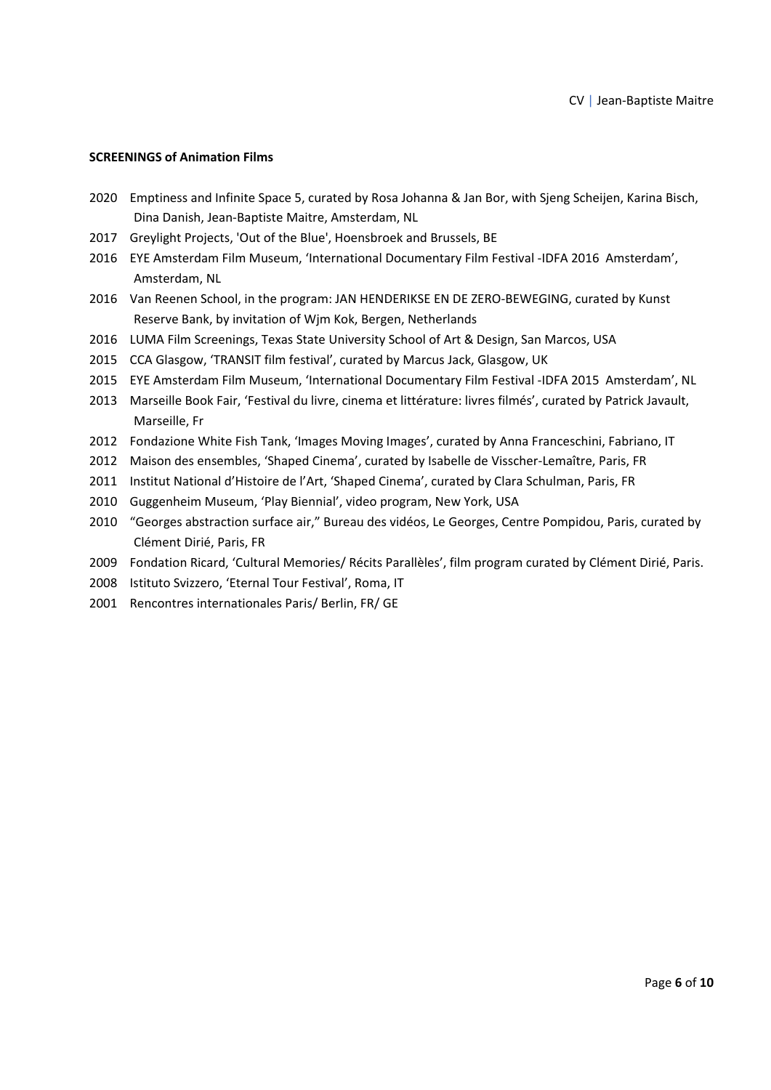## **SCREENINGS of Animation Films**

- 2020 Emptiness and Infinite Space 5, curated by Rosa Johanna & Jan Bor, with Sjeng Scheijen, Karina Bisch, Dina Danish, Jean‐Baptiste Maitre, Amsterdam, NL
- 2017 Greylight Projects, 'Out of the Blue', Hoensbroek and Brussels, BE
- 2016 EYE Amsterdam Film Museum, 'International Documentary Film Festival ‐IDFA 2016 Amsterdam', Amsterdam, NL
- 2016 Van Reenen School, in the program: JAN HENDERIKSE EN DE ZERO-BEWEGING, curated by Kunst Reserve Bank, by invitation of Wjm Kok, Bergen, Netherlands
- 2016 LUMA Film Screenings, Texas State University School of Art & Design, San Marcos, USA
- 2015 CCA Glasgow, 'TRANSIT film festival', curated by Marcus Jack, Glasgow, UK
- 2015 EYE Amsterdam Film Museum, 'International Documentary Film Festival ‐IDFA 2015 Amsterdam', NL
- 2013 Marseille Book Fair, 'Festival du livre, cinema et littérature: livres filmés', curated by Patrick Javault, Marseille, Fr
- 2012 Fondazione White Fish Tank, 'Images Moving Images', curated by Anna Franceschini, Fabriano, IT
- 2012 Maison des ensembles, 'Shaped Cinema', curated by Isabelle de Visscher-Lemaître, Paris, FR
- 2011 Institut National d'Histoire de l'Art, 'Shaped Cinema', curated by Clara Schulman, Paris, FR
- 2010 Guggenheim Museum, 'Play Biennial', video program, New York, USA
- 2010 "Georges abstraction surface air," Bureau des vidéos, Le Georges, Centre Pompidou, Paris, curated by Clément Dirié, Paris, FR
- 2009 Fondation Ricard, 'Cultural Memories/ Récits Parallèles', film program curated by Clément Dirié, Paris.
- 2008 Istituto Svizzero, 'Eternal Tour Festival', Roma, IT
- 2001 Rencontres internationales Paris/ Berlin, FR/ GE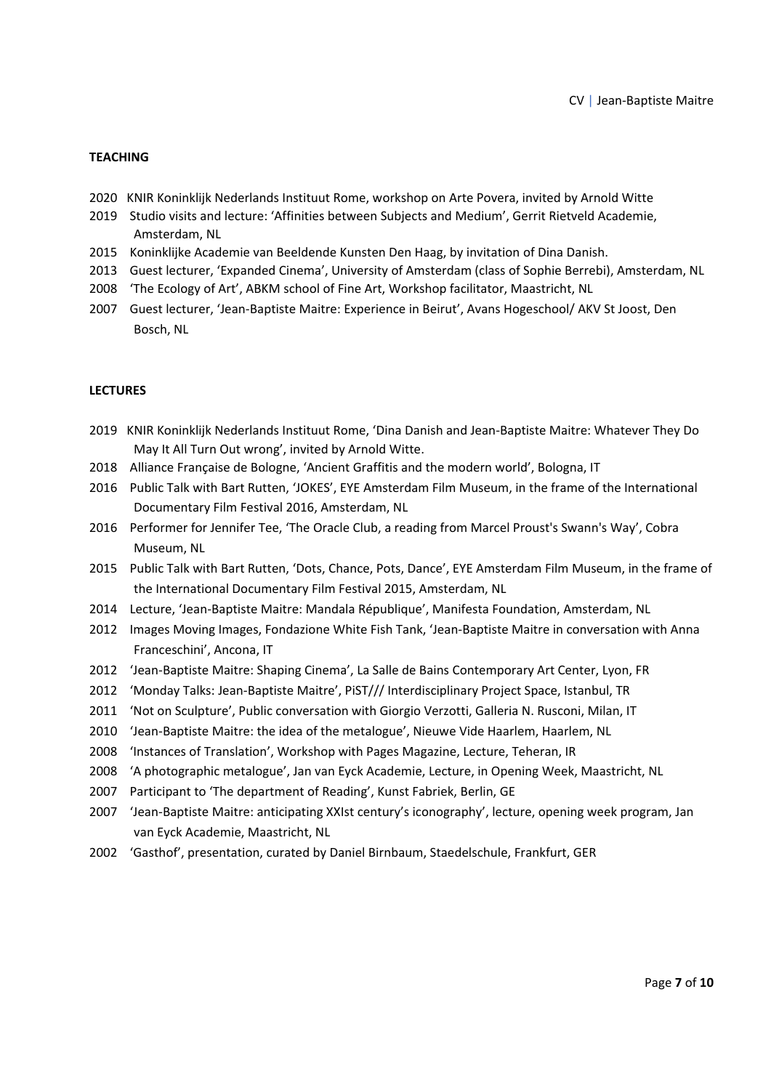# **TEACHING**

- 2020 KNIR Koninklijk Nederlands Instituut Rome, workshop on Arte Povera, invited by Arnold Witte
- 2019 Studio visits and lecture: 'Affinities between Subjects and Medium', Gerrit Rietveld Academie, Amsterdam, NL
- 2015 Koninklijke Academie van Beeldende Kunsten Den Haag, by invitation of Dina Danish.
- 2013 Guest lecturer, 'Expanded Cinema', University of Amsterdam (class of Sophie Berrebi), Amsterdam, NL
- 2008 'The Ecology of Art', ABKM school of Fine Art, Workshop facilitator, Maastricht, NL
- 2007 Guest lecturer, 'Jean‐Baptiste Maitre: Experience in Beirut', Avans Hogeschool/ AKV St Joost, Den Bosch, NL

#### **LECTURES**

- 2019 KNIR Koninklijk Nederlands Instituut Rome, 'Dina Danish and Jean‐Baptiste Maitre: Whatever They Do May It All Turn Out wrong', invited by Arnold Witte.
- 2018 Alliance Française de Bologne, 'Ancient Graffitis and the modern world', Bologna, IT
- 2016 Public Talk with Bart Rutten, 'JOKES', EYE Amsterdam Film Museum, in the frame of the International Documentary Film Festival 2016, Amsterdam, NL
- 2016 Performer for Jennifer Tee, 'The Oracle Club, a reading from Marcel Proust's Swann's Way', Cobra Museum, NL
- 2015 Public Talk with Bart Rutten, 'Dots, Chance, Pots, Dance', EYE Amsterdam Film Museum, in the frame of the International Documentary Film Festival 2015, Amsterdam, NL
- 2014 Lecture, 'Jean‐Baptiste Maitre: Mandala République', Manifesta Foundation, Amsterdam, NL
- 2012 Images Moving Images, Fondazione White Fish Tank, 'Jean-Baptiste Maitre in conversation with Anna Franceschini', Ancona, IT
- 2012 'Jean‐Baptiste Maitre: Shaping Cinema', La Salle de Bains Contemporary Art Center, Lyon, FR
- 2012 'Monday Talks: Jean‐Baptiste Maitre', PiST/// Interdisciplinary Project Space, Istanbul, TR
- 2011 'Not on Sculpture', Public conversation with Giorgio Verzotti, Galleria N. Rusconi, Milan, IT
- 2010 'Jean-Baptiste Maitre: the idea of the metalogue', Nieuwe Vide Haarlem, Haarlem, NL
- 2008 'Instances of Translation', Workshop with Pages Magazine, Lecture, Teheran, IR
- 2008 'A photographic metalogue', Jan van Eyck Academie, Lecture, in Opening Week, Maastricht, NL
- 2007 Participant to 'The department of Reading', Kunst Fabriek, Berlin, GE
- 2007 'Jean‐Baptiste Maitre: anticipating XXIst century's iconography', lecture, opening week program, Jan van Eyck Academie, Maastricht, NL
- 2002 'Gasthof', presentation, curated by Daniel Birnbaum, Staedelschule, Frankfurt, GER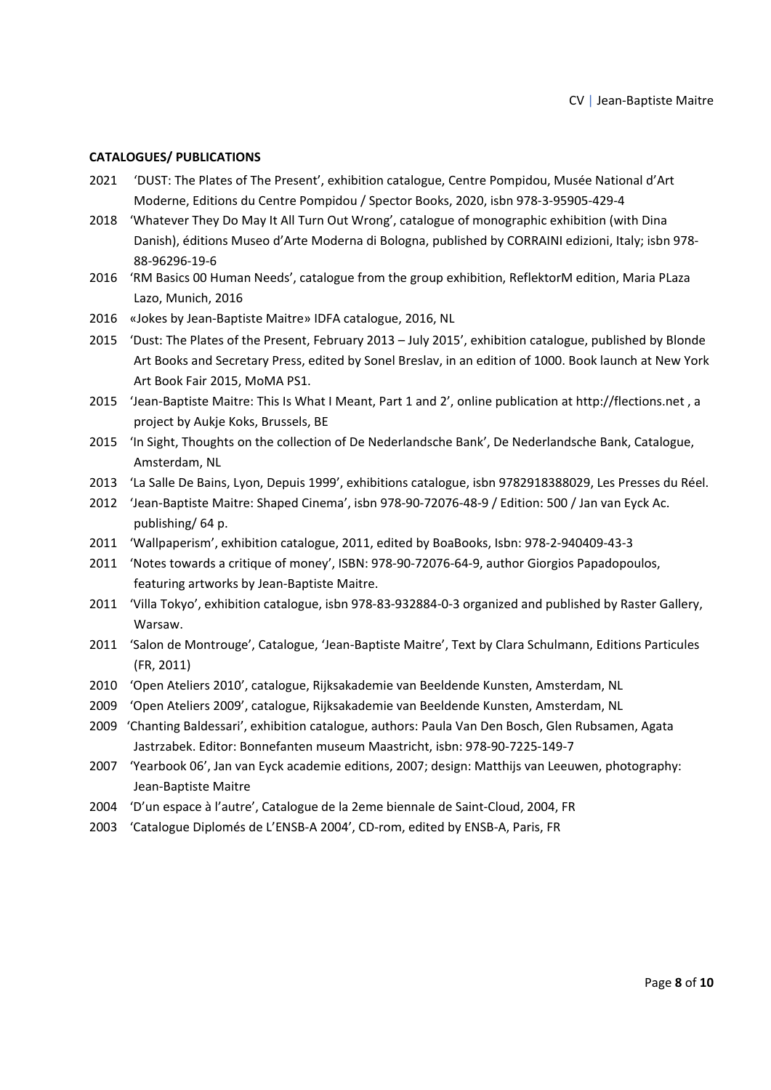### **CATALOGUES/ PUBLICATIONS**

- 2021 'DUST: The Plates of The Present', exhibition catalogue, Centre Pompidou, Musée National d'Art Moderne, Editions du Centre Pompidou / Spector Books, 2020, isbn 978‐3‐95905‐429‐4
- 2018 'Whatever They Do May It All Turn Out Wrong', catalogue of monographic exhibition (with Dina Danish), éditions Museo d'Arte Moderna di Bologna, published by CORRAINI edizioni, Italy; isbn 978‐ 88‐96296‐19‐6
- 2016 'RM Basics 00 Human Needs', catalogue from the group exhibition, ReflektorM edition, Maria PLaza Lazo, Munich, 2016
- 2016 «Jokes by Jean‐Baptiste Maitre» IDFA catalogue, 2016, NL
- 2015 'Dust: The Plates of the Present, February 2013 July 2015', exhibition catalogue, published by Blonde Art Books and Secretary Press, edited by Sonel Breslav, in an edition of 1000. Book launch at New York Art Book Fair 2015, MoMA PS1.
- 2015 'Jean‐Baptiste Maitre: This Is What I Meant, Part 1 and 2', online publication at http://flections.net , a project by Aukje Koks, Brussels, BE
- 2015 'In Sight, Thoughts on the collection of De Nederlandsche Bank', De Nederlandsche Bank, Catalogue, Amsterdam, NL
- 2013 'La Salle De Bains, Lyon, Depuis 1999', exhibitions catalogue, isbn 9782918388029, Les Presses du Réel.
- 2012 'Jean‐Baptiste Maitre: Shaped Cinema', isbn 978‐90‐72076‐48‐9 / Edition: 500 / Jan van Eyck Ac. publishing/ 64 p.
- 2011 'Wallpaperism', exhibition catalogue, 2011, edited by BoaBooks, Isbn: 978‐2‐940409‐43‐3
- 2011 'Notes towards a critique of money', ISBN: 978‐90‐72076‐64‐9, author Giorgios Papadopoulos, featuring artworks by Jean‐Baptiste Maitre.
- 2011 'Villa Tokyo', exhibition catalogue, isbn 978‐83‐932884‐0‐3 organized and published by Raster Gallery, Warsaw.
- 2011 'Salon de Montrouge', Catalogue, 'Jean-Baptiste Maitre', Text by Clara Schulmann, Editions Particules (FR, 2011)
- 2010 'Open Ateliers 2010', catalogue, Rijksakademie van Beeldende Kunsten, Amsterdam, NL
- 2009 'Open Ateliers 2009', catalogue, Rijksakademie van Beeldende Kunsten, Amsterdam, NL
- 2009 'Chanting Baldessari', exhibition catalogue, authors: Paula Van Den Bosch, Glen Rubsamen, Agata Jastrzabek. Editor: Bonnefanten museum Maastricht, isbn: 978‐90‐7225‐149‐7
- 2007 'Yearbook 06', Jan van Eyck academie editions, 2007; design: Matthijs van Leeuwen, photography: Jean‐Baptiste Maitre
- 2004 'D'un espace à l'autre', Catalogue de la 2eme biennale de Saint‐Cloud, 2004, FR
- 2003 'Catalogue Diplomés de L'ENSB-A 2004', CD-rom, edited by ENSB-A, Paris, FR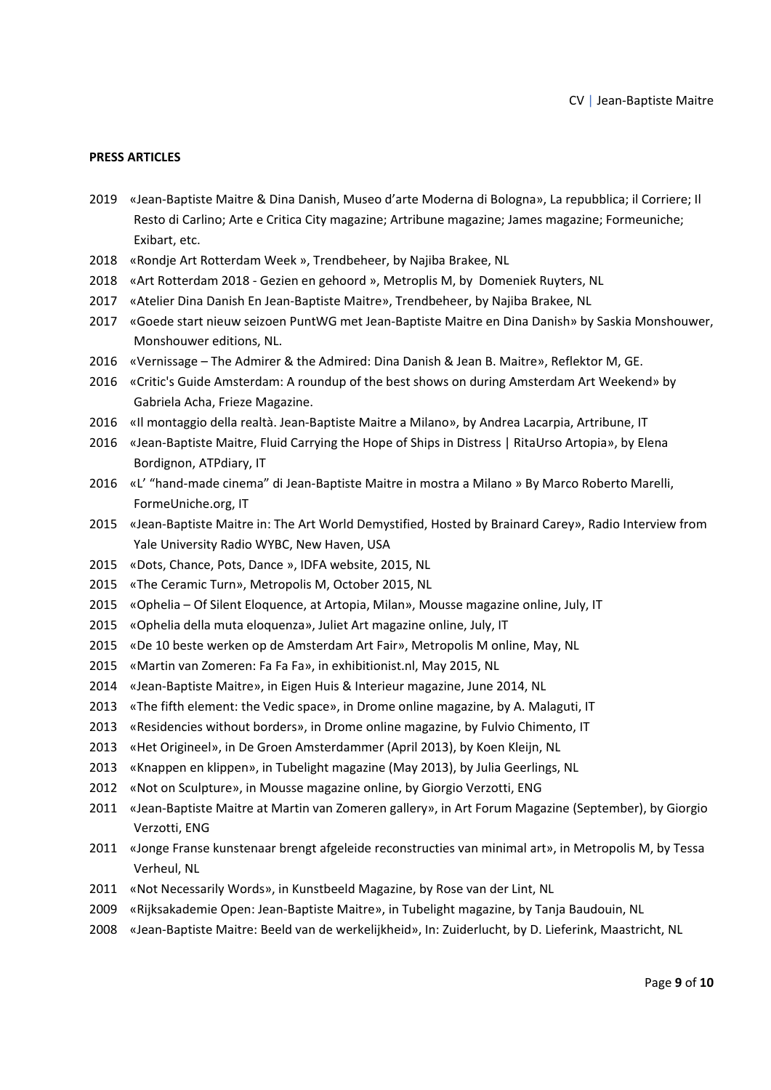#### **PRESS ARTICLES**

- «Jean‐Baptiste Maitre & Dina Danish, Museo d'arte Moderna di Bologna», La repubblica; il Corriere; Il Resto di Carlino; Arte e Critica City magazine; Artribune magazine; James magazine; Formeuniche; Exibart, etc.
- «Rondje Art Rotterdam Week », Trendbeheer, by Najiba Brakee, NL
- «Art Rotterdam 2018 ‐ Gezien en gehoord », Metroplis M, by Domeniek Ruyters, NL
- «Atelier Dina Danish En Jean‐Baptiste Maitre», Trendbeheer, by Najiba Brakee, NL
- «Goede start nieuw seizoen PuntWG met Jean‐Baptiste Maitre en Dina Danish» by Saskia Monshouwer, Monshouwer editions, NL.
- «Vernissage The Admirer & the Admired: Dina Danish & Jean B. Maitre», Reflektor M, GE.
- «Critic's Guide Amsterdam: A roundup of the best shows on during Amsterdam Art Weekend» by Gabriela Acha, Frieze Magazine.
- 2016 «Il montaggio della realtà. Jean-Baptiste Maitre a Milano», by Andrea Lacarpia, Artribune, IT
- «Jean‐Baptiste Maitre, Fluid Carrying the Hope of Ships in Distress | RitaUrso Artopia», by Elena Bordignon, ATPdiary, IT
- 2016 «L' "hand-made cinema" di Jean-Baptiste Maitre in mostra a Milano » By Marco Roberto Marelli, FormeUniche.org, IT
- «Jean‐Baptiste Maitre in: The Art World Demystified, Hosted by Brainard Carey», Radio Interview from Yale University Radio WYBC, New Haven, USA
- «Dots, Chance, Pots, Dance », IDFA website, 2015, NL
- «The Ceramic Turn», Metropolis M, October 2015, NL
- «Ophelia Of Silent Eloquence, at Artopia, Milan», Mousse magazine online, July, IT
- «Ophelia della muta eloquenza», Juliet Art magazine online, July, IT
- «De 10 beste werken op de Amsterdam Art Fair», Metropolis M online, May, NL
- «Martin van Zomeren: Fa Fa Fa», in exhibitionist.nl, May 2015, NL
- «Jean‐Baptiste Maitre», in Eigen Huis & Interieur magazine, June 2014, NL
- «The fifth element: the Vedic space», in Drome online magazine, by A. Malaguti, IT
- «Residencies without borders», in Drome online magazine, by Fulvio Chimento, IT
- «Het Origineel», in De Groen Amsterdammer (April 2013), by Koen Kleijn, NL
- «Knappen en klippen», in Tubelight magazine (May 2013), by Julia Geerlings, NL
- «Not on Sculpture», in Mousse magazine online, by Giorgio Verzotti, ENG
- «Jean‐Baptiste Maitre at Martin van Zomeren gallery», in Art Forum Magazine (September), by Giorgio Verzotti, ENG
- «Jonge Franse kunstenaar brengt afgeleide reconstructies van minimal art», in Metropolis M, by Tessa Verheul, NL
- «Not Necessarily Words», in Kunstbeeld Magazine, by Rose van der Lint, NL
- «Rijksakademie Open: Jean‐Baptiste Maitre», in Tubelight magazine, by Tanja Baudouin, NL
- «Jean‐Baptiste Maitre: Beeld van de werkelijkheid», In: Zuiderlucht, by D. Lieferink, Maastricht, NL